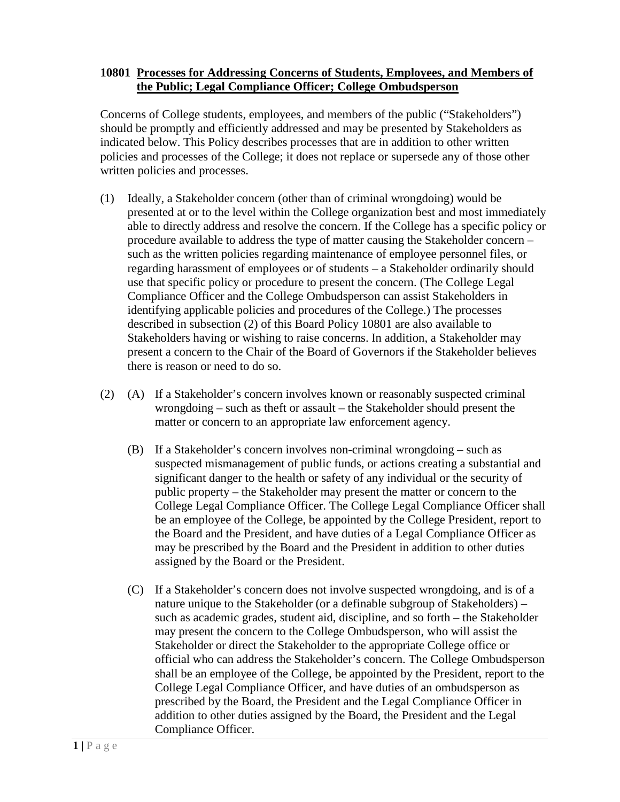## **10801 Processes for Addressing Concerns of Students, Employees, and Members of the Public; Legal Compliance Officer; College Ombudsperson**

Concerns of College students, employees, and members of the public ("Stakeholders") should be promptly and efficiently addressed and may be presented by Stakeholders as indicated below. This Policy describes processes that are in addition to other written policies and processes of the College; it does not replace or supersede any of those other written policies and processes.

- (1) Ideally, a Stakeholder concern (other than of criminal wrongdoing) would be presented at or to the level within the College organization best and most immediately able to directly address and resolve the concern. If the College has a specific policy or procedure available to address the type of matter causing the Stakeholder concern – such as the written policies regarding maintenance of employee personnel files, or regarding harassment of employees or of students – a Stakeholder ordinarily should use that specific policy or procedure to present the concern. (The College Legal Compliance Officer and the College Ombudsperson can assist Stakeholders in identifying applicable policies and procedures of the College.) The processes described in subsection (2) of this Board Policy 10801 are also available to Stakeholders having or wishing to raise concerns. In addition, a Stakeholder may present a concern to the Chair of the Board of Governors if the Stakeholder believes there is reason or need to do so.
- (2) (A) If a Stakeholder's concern involves known or reasonably suspected criminal wrongdoing – such as theft or assault – the Stakeholder should present the matter or concern to an appropriate law enforcement agency.
	- (B) If a Stakeholder's concern involves non-criminal wrongdoing such as suspected mismanagement of public funds, or actions creating a substantial and significant danger to the health or safety of any individual or the security of public property – the Stakeholder may present the matter or concern to the College Legal Compliance Officer. The College Legal Compliance Officer shall be an employee of the College, be appointed by the College President, report to the Board and the President, and have duties of a Legal Compliance Officer as may be prescribed by the Board and the President in addition to other duties assigned by the Board or the President.
	- (C) If a Stakeholder's concern does not involve suspected wrongdoing, and is of a nature unique to the Stakeholder (or a definable subgroup of Stakeholders) – such as academic grades, student aid, discipline, and so forth – the Stakeholder may present the concern to the College Ombudsperson, who will assist the Stakeholder or direct the Stakeholder to the appropriate College office or official who can address the Stakeholder's concern. The College Ombudsperson shall be an employee of the College, be appointed by the President, report to the College Legal Compliance Officer, and have duties of an ombudsperson as prescribed by the Board, the President and the Legal Compliance Officer in addition to other duties assigned by the Board, the President and the Legal Compliance Officer.